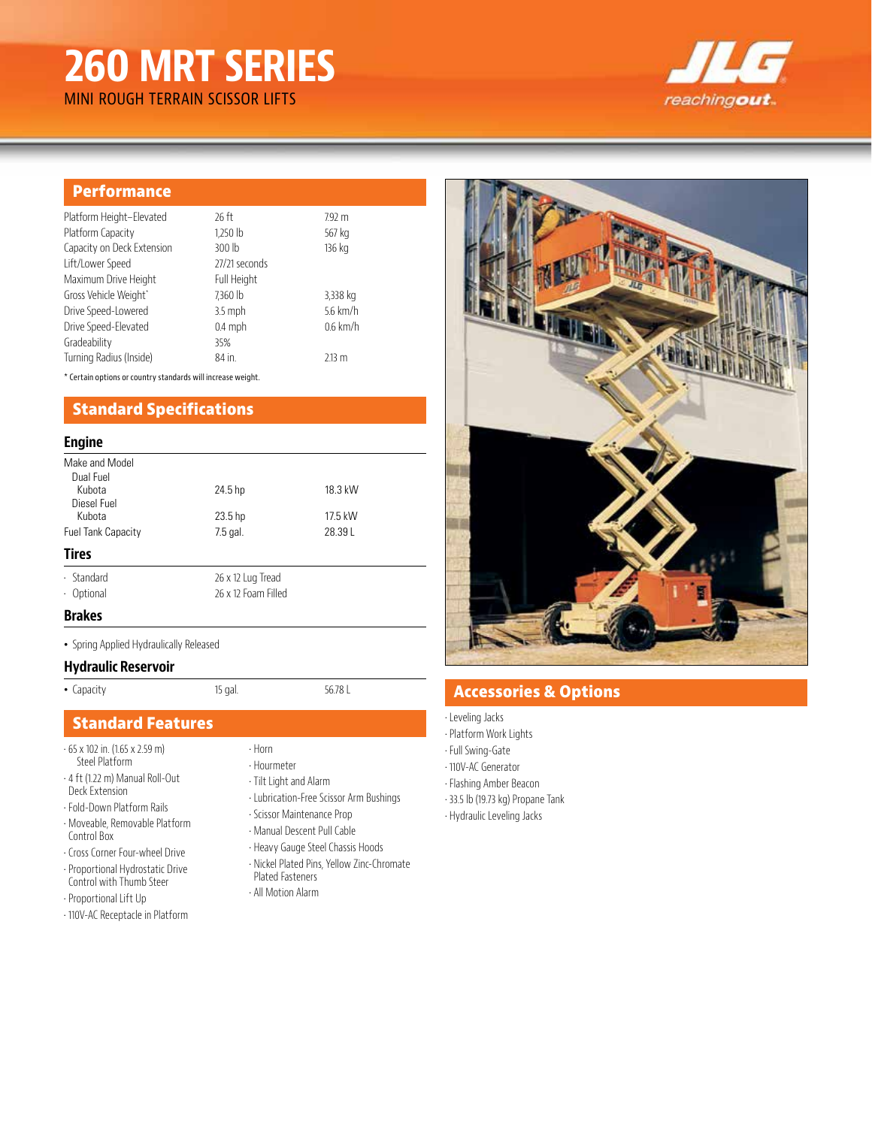# **260 MRT SERIES**

reachingout

# MINI ROUGH TERRAIN SCISSOR LIFTS

#### **Performance** Platform Height–Elevated 26 ft 7.92 m Platform Capacity 1,250 lb 567 kg Capacity on Deck Extension 300 lb 136 kg Lift/Lower Speed 27/21 seconds Maximum Drive Height Full Height Gross Vehicle Weight\* 7,360 lb 3,338 kg Drive Speed-Lowered 3.5 mph 5.6 km/h Drive Speed-Elevated 0.4 mph 0.6 km/h Gradeability 35% Turning Radius (Inside) 84 in. 2.13 m

\* Certain options or country standards will increase weight.

# **Standard Specifications**

#### **Engine**

| Make and Model<br>Dual Fuel |                     |         |
|-----------------------------|---------------------|---------|
| Kubota<br>Diesel Fuel       | 24.5 hp             | 18.3 kW |
| Kubota                      | 23.5 hp             | 17.5 kW |
| <b>Fuel Tank Capacity</b>   | 7.5 gal.            | 28.39L  |
| <b>Tires</b>                |                     |         |
| $\cdot$ Standard            | 26 x 12 Lug Tread   |         |
| · Optional                  | 26 x 12 Foam Filled |         |
| . .                         |                     |         |

#### **Brakes**

• Spring Applied Hydraulically Released

#### **Hydraulic Reservoir**

• Capacity 15 gal. 56.78 L

## **Standard Features**

- 65 x 102 in. (1.65 x 2.59 m) Steel Platform
- 4 ft (1.22 m) Manual Roll-Out Deck Extension
- Fold-Down Platform Rails
- Moveable, Removable Platform Control Box
- Cross Corner Four-wheel Drive • Proportional Hydrostatic Drive Control with Thumb Steer
- Proportional Lift Up
- 110V-AC Receptacle in Platform
- Horn
- Hourmeter
- Tilt Light and Alarm
- Lubrication-Free Scissor Arm Bushings
- Scissor Maintenance Prop
- Manual Descent Pull Cable
- Heavy Gauge Steel Chassis Hoods
- Nickel Plated Pins, Yellow Zinc-Chromate Plated Fasteners
- All Motion Alarm



# **Accessories & Options**

- Leveling Jacks
- Platform Work Lights
- Full Swing-Gate
- 110V-AC Generator
- Flashing Amber Beacon
- 33.5 lb (19.73 kg) Propane Tank
- Hydraulic Leveling Jacks